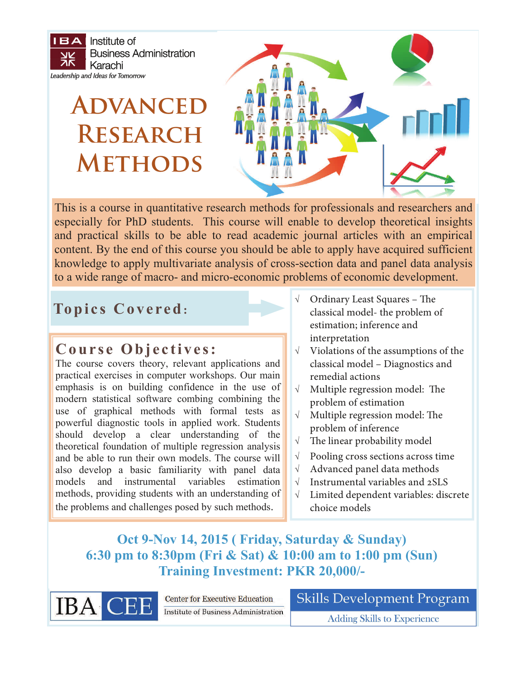$IBA$ Institute of **Business Administration** ĀΚ Karachi Leadership and Ideas for Tomorrow

# **Advanced Research Methods**



This is a course in quantitative research methods for professionals and researchers and especially for PhD students. This course will enable to develop theoretical insights and practical skills to be able to read academic journal articles with an empirical content. By the end of this course you should be able to apply have acquired sufficient knowledge to apply multivariate analysis of cross-section data and panel data analysis to a wide range of macro- and micro-economic problems of economic development.

## **Topics Covered:**

#### **Course Objectives:**

The course covers theory, relevant applications and practical exercises in computer workshops. Our main emphasis is on building confidence in the use of modern statistical software combing combining the use of graphical methods with formal tests as powerful diagnostic tools in applied work. Students should develop a clear understanding of the theoretical foundation of multiple regression analysis and be able to run their own models. The course will also develop a basic familiarity with panel data models and instrumental variables estimation methods, providing students with an understanding of the problems and challenges posed by such methods.

- $\sqrt{\phantom{a}}$  Ordinary Least Squares The classical model- the problem of estimation; inference and interpretation
- $\sqrt{\phantom{a}}$  Violations of the assumptions of the classical model – Diagnostics and remedial actions
- $\sqrt{\phantom{a}}$  Multiple regression model: The problem of estimation
- $\sqrt{\phantom{a}}$  Multiple regression model: The problem of inference
- $\sqrt{\phantom{a}}$  The linear probability model
- $\sqrt{\phantom{a}}$  Pooling cross sections across time
- $\sqrt{\phantom{a}}$  Advanced panel data methods
- $\sqrt{ }$  Instrumental variables and 2SLS
- $\sqrt{\phantom{a}}$  Limited dependent variables: discrete choice models

### **Oct 9-Nov 14, 2015 ( Friday, Saturday & Sunday) 6:30 pm to 8:30pm (Fri & Sat) & 10:00 am to 1:00 pm (Sun) Training Investment: PKR 20,000/-**



**Center for Executive Education Institute of Business Administration**  **Skills Development Program** 

**Adding Skills to Experience**